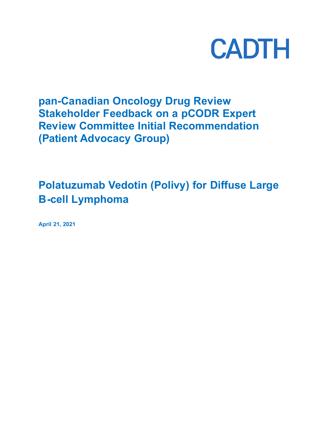

## **pan-Canadian Oncology Drug Review Stakeholder Feedback on a pCODR Expert Review Committee Initial Recommendation (Patient Advocacy Group)**

# **Polatuzumab Vedotin (Polivy) for Diffuse Large B-cell Lymphoma**

**April 21, 2021**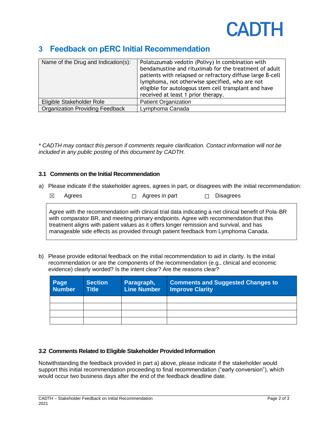

## **3 Feedback on pERC Initial Recommendation**

| Name of the Drug and Indication(s):    | Polatuzumab vedotin (Polivy) In combination with<br>bendamustine and rituximab for the treatment of adult<br>patients with relapsed or refractory diffuse large B-cell<br>lymphoma, not otherwise specified, who are not<br>eligible for autologous stem cell transplant and have<br>received at least 1 prior therapy. |
|----------------------------------------|-------------------------------------------------------------------------------------------------------------------------------------------------------------------------------------------------------------------------------------------------------------------------------------------------------------------------|
| Eligible Stakeholder Role              | <b>Patient Organization</b>                                                                                                                                                                                                                                                                                             |
| <b>Organization Providing Feedback</b> | Lymphoma Canada                                                                                                                                                                                                                                                                                                         |

*\* CADTH may contact this person if comments require clarification. Contact information will not be included in any public posting of this document by CADTH.*

### **3.1 Comments on the Initial Recommendation**

a) Please indicate if the stakeholder agrees, agrees in part, or disagrees with the initial recommendation:

| $\boxtimes$ Agrees<br>$\Box$ Agrees in part<br>$\Box$ Disagrees |  |
|-----------------------------------------------------------------|--|
|-----------------------------------------------------------------|--|

Agree with the recommendation with clinical trial data indicating a net clinical benefit of Pola-BR with comparator BR, and meeting primary endpoints. Agree with recommendation that this treatment aligns with patient values as it offers longer remission and survival, and has manageable side effects as provided through patient feedback from Lymphoma Canada.

b) Please provide editorial feedback on the initial recommendation to aid in clarity. Is the initial recommendation or are the components of the recommendation (e.g., clinical and economic evidence) clearly worded? Is the intent clear? Are the reasons clear?

| Page<br>Number | <b>Section</b><br>Title <sup>1</sup> | Paragraph,<br><b>Line Number</b> | <b>Comments and Suggested Changes to</b><br><b>Improve Clarity</b> |
|----------------|--------------------------------------|----------------------------------|--------------------------------------------------------------------|
|                |                                      |                                  |                                                                    |
|                |                                      |                                  |                                                                    |
|                |                                      |                                  |                                                                    |
|                |                                      |                                  |                                                                    |

#### **3.2 Comments Related to Eligible Stakeholder Provided Information**

Notwithstanding the feedback provided in part a) above, please indicate if the stakeholder would support this initial recommendation proceeding to final recommendation ("early conversion"), which would occur two business days after the end of the feedback deadline date.